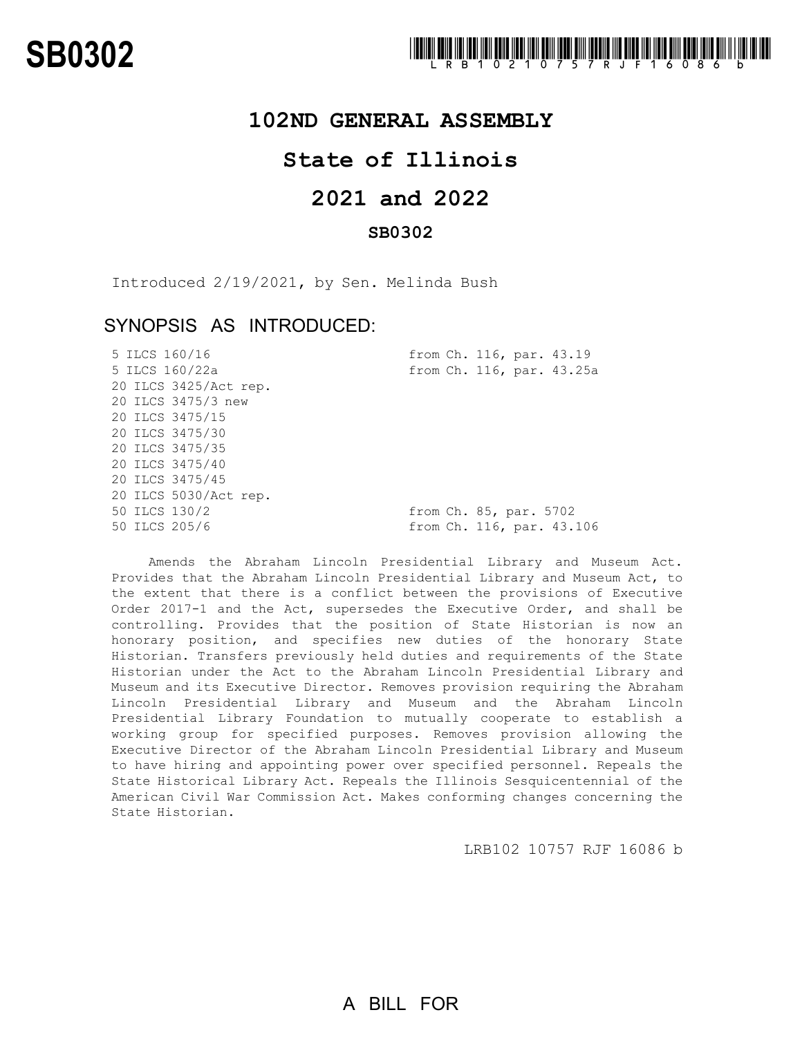### **102ND GENERAL ASSEMBLY**

## **State of Illinois**

# **2021 and 2022**

### **SB0302**

Introduced 2/19/2021, by Sen. Melinda Bush

### SYNOPSIS AS INTRODUCED:

| from Ch. 116, par. 43.19  |
|---------------------------|
| from Ch. 116, par. 43.25a |
|                           |
|                           |
|                           |
|                           |
|                           |
|                           |
|                           |
|                           |
| from Ch. 85, par. 5702    |
| from Ch. 116, par. 43.106 |
|                           |

Amends the Abraham Lincoln Presidential Library and Museum Act. Provides that the Abraham Lincoln Presidential Library and Museum Act, to the extent that there is a conflict between the provisions of Executive Order 2017-1 and the Act, supersedes the Executive Order, and shall be controlling. Provides that the position of State Historian is now an honorary position, and specifies new duties of the honorary State Historian. Transfers previously held duties and requirements of the State Historian under the Act to the Abraham Lincoln Presidential Library and Museum and its Executive Director. Removes provision requiring the Abraham Lincoln Presidential Library and Museum and the Abraham Lincoln Presidential Library Foundation to mutually cooperate to establish a working group for specified purposes. Removes provision allowing the Executive Director of the Abraham Lincoln Presidential Library and Museum to have hiring and appointing power over specified personnel. Repeals the State Historical Library Act. Repeals the Illinois Sesquicentennial of the American Civil War Commission Act. Makes conforming changes concerning the State Historian.

LRB102 10757 RJF 16086 b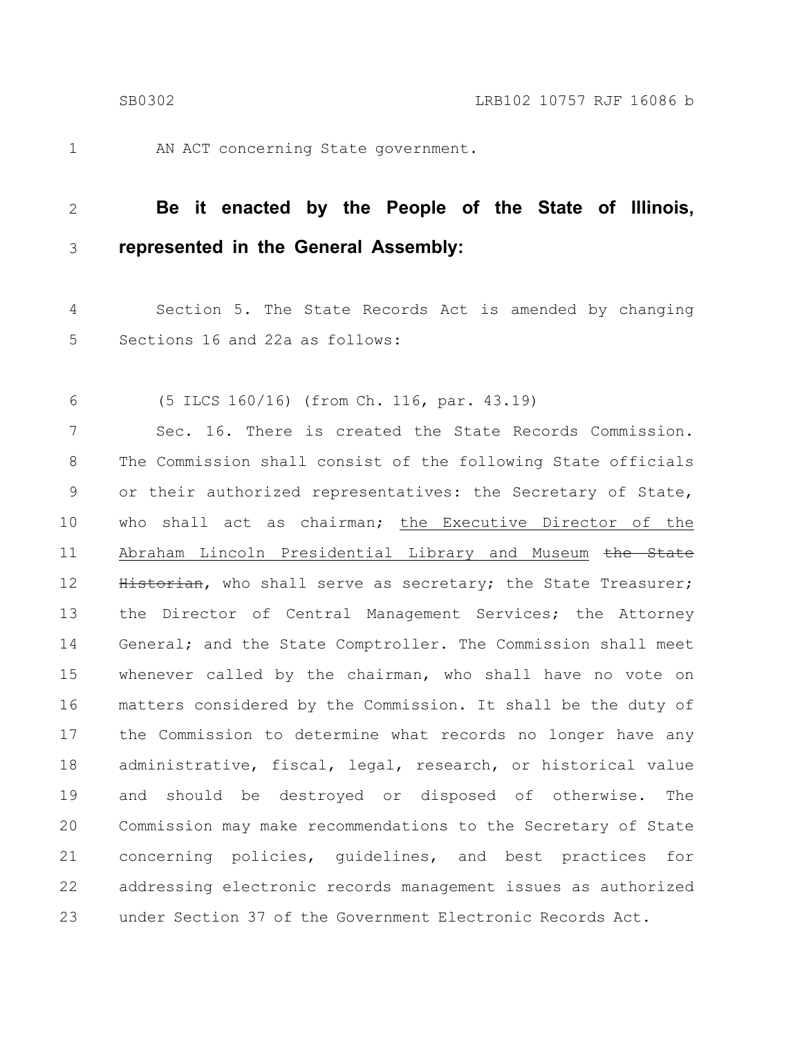1

AN ACT concerning State government.

#### **Be it enacted by the People of the State of Illinois, represented in the General Assembly:** 2 3

Section 5. The State Records Act is amended by changing Sections 16 and 22a as follows: 4 5

(5 ILCS 160/16) (from Ch. 116, par. 43.19) 6

Sec. 16. There is created the State Records Commission. The Commission shall consist of the following State officials or their authorized representatives: the Secretary of State, who shall act as chairman; the Executive Director of the Abraham Lincoln Presidential Library and Museum the State Historian, who shall serve as secretary; the State Treasurer; the Director of Central Management Services; the Attorney General; and the State Comptroller. The Commission shall meet whenever called by the chairman, who shall have no vote on matters considered by the Commission. It shall be the duty of the Commission to determine what records no longer have any administrative, fiscal, legal, research, or historical value and should be destroyed or disposed of otherwise. The Commission may make recommendations to the Secretary of State concerning policies, guidelines, and best practices for addressing electronic records management issues as authorized under Section 37 of the Government Electronic Records Act. 7 8 9 10 11 12 13 14 15 16 17 18 19 20 21 22 23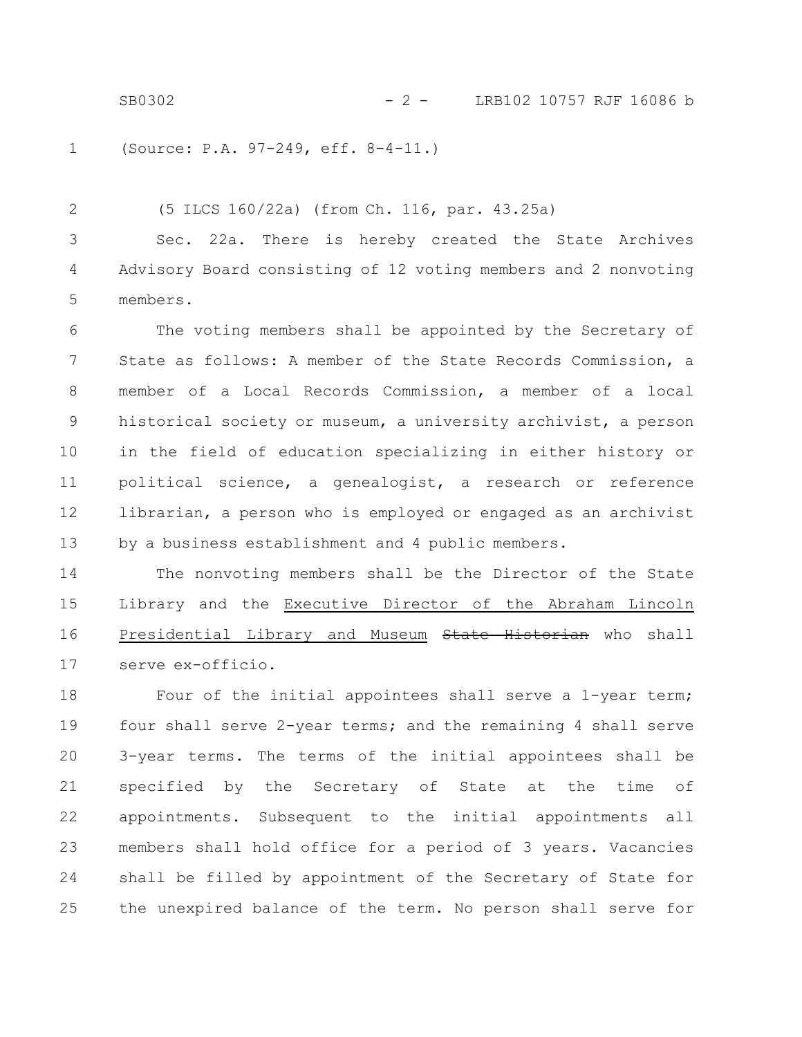SB0302 - 2 - LRB102 10757 RJF 16086 b

(Source: P.A. 97-249, eff. 8-4-11.) 1

(5 ILCS 160/22a) (from Ch. 116, par. 43.25a) Sec. 22a. There is hereby created the State Archives Advisory Board consisting of 12 voting members and 2 nonvoting members. 2 3 4 5

The voting members shall be appointed by the Secretary of State as follows: A member of the State Records Commission, a member of a Local Records Commission, a member of a local historical society or museum, a university archivist, a person in the field of education specializing in either history or political science, a genealogist, a research or reference librarian, a person who is employed or engaged as an archivist by a business establishment and 4 public members. 6 7 8 9 10 11 12 13

The nonvoting members shall be the Director of the State Library and the Executive Director of the Abraham Lincoln Presidential Library and Museum State Historian who shall serve ex-officio. 14 15 16 17

Four of the initial appointees shall serve a 1-year term; four shall serve 2-year terms; and the remaining 4 shall serve 3-year terms. The terms of the initial appointees shall be specified by the Secretary of State at the time of appointments. Subsequent to the initial appointments all members shall hold office for a period of 3 years. Vacancies shall be filled by appointment of the Secretary of State for the unexpired balance of the term. No person shall serve for 18 19 20 21 22 23 24 25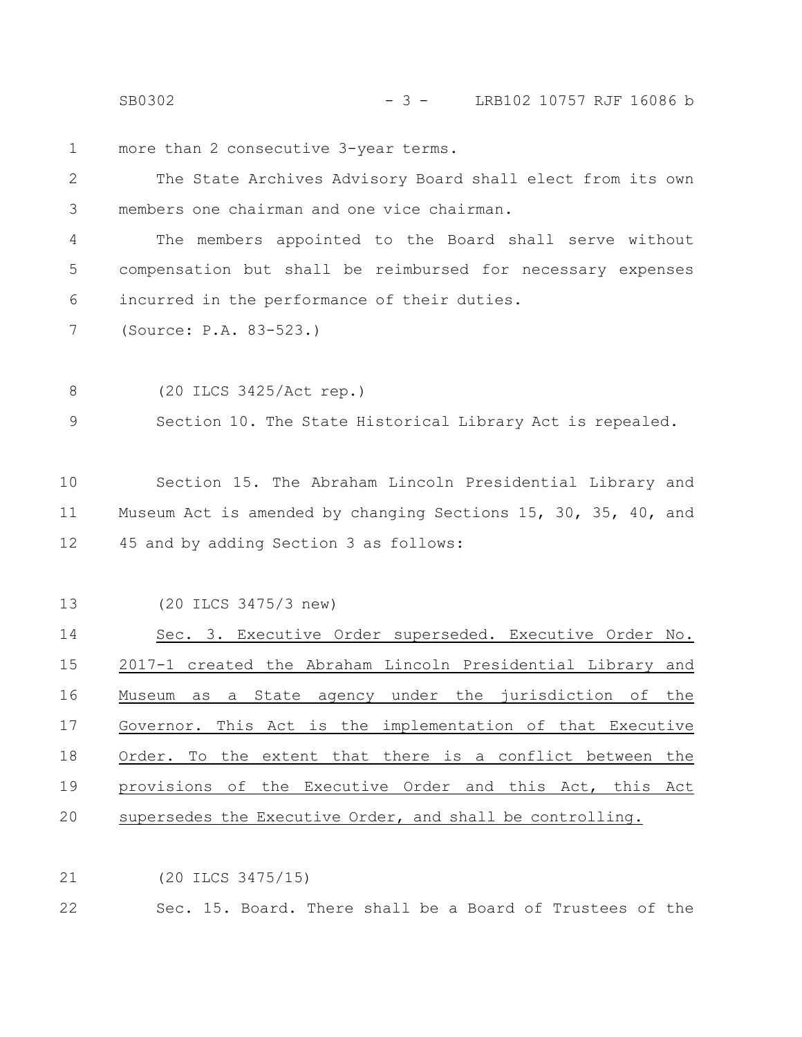SB0302 - 3 - LRB102 10757 RJF 16086 b

more than 2 consecutive 3-year terms. 1

The State Archives Advisory Board shall elect from its own members one chairman and one vice chairman. 2 3

The members appointed to the Board shall serve without compensation but shall be reimbursed for necessary expenses incurred in the performance of their duties. 4 5 6

(Source: P.A. 83-523.) 7

(20 ILCS 3425/Act rep.) 8

Section 10. The State Historical Library Act is repealed. 9

Section 15. The Abraham Lincoln Presidential Library and Museum Act is amended by changing Sections 15, 30, 35, 40, and 45 and by adding Section 3 as follows: 10 11 12

(20 ILCS 3475/3 new) 13

Sec. 3. Executive Order superseded. Executive Order No. 2017-1 created the Abraham Lincoln Presidential Library and Museum as a State agency under the jurisdiction of the Governor. This Act is the implementation of that Executive Order. To the extent that there is a conflict between the provisions of the Executive Order and this Act, this Act supersedes the Executive Order, and shall be controlling. 14 15 16 17 18 19 20

(20 ILCS 3475/15) 21

Sec. 15. Board. There shall be a Board of Trustees of the 22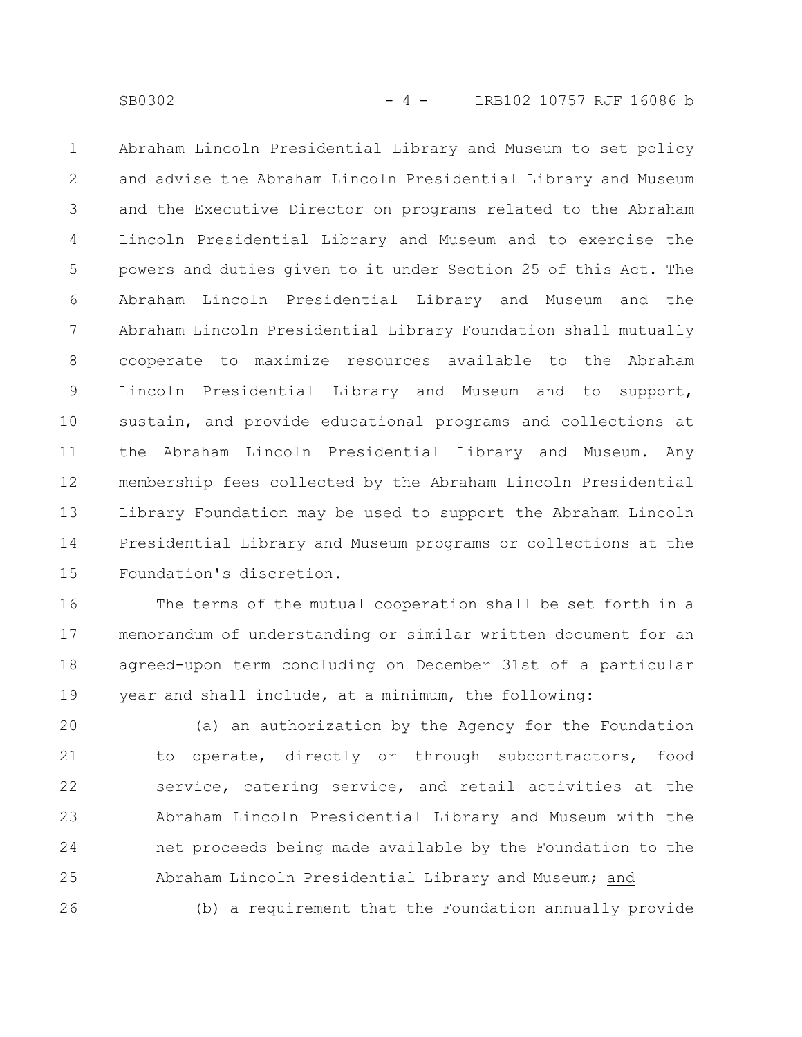Abraham Lincoln Presidential Library and Museum to set policy and advise the Abraham Lincoln Presidential Library and Museum and the Executive Director on programs related to the Abraham Lincoln Presidential Library and Museum and to exercise the powers and duties given to it under Section 25 of this Act. The Abraham Lincoln Presidential Library and Museum and the Abraham Lincoln Presidential Library Foundation shall mutually cooperate to maximize resources available to the Abraham Lincoln Presidential Library and Museum and to support, sustain, and provide educational programs and collections at the Abraham Lincoln Presidential Library and Museum. Any membership fees collected by the Abraham Lincoln Presidential Library Foundation may be used to support the Abraham Lincoln Presidential Library and Museum programs or collections at the Foundation's discretion. 1 2 3 4 5 6 7 8 9 10 11 12 13 14 15

The terms of the mutual cooperation shall be set forth in a memorandum of understanding or similar written document for an agreed-upon term concluding on December 31st of a particular year and shall include, at a minimum, the following: 16 17 18 19

(a) an authorization by the Agency for the Foundation to operate, directly or through subcontractors, food service, catering service, and retail activities at the Abraham Lincoln Presidential Library and Museum with the net proceeds being made available by the Foundation to the Abraham Lincoln Presidential Library and Museum; and (b) a requirement that the Foundation annually provide 20 21 22 23 24 25 26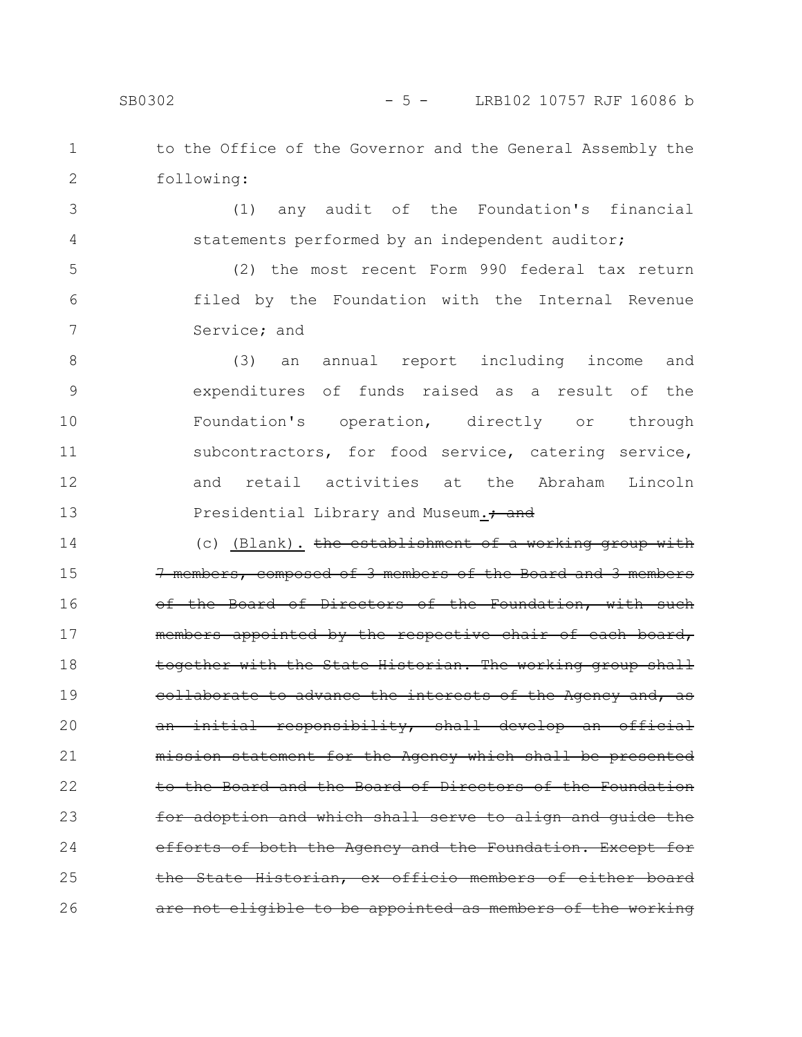SB0302 - 5 - LRB102 10757 RJF 16086 b

to the Office of the Governor and the General Assembly the following: 1 2

(1) any audit of the Foundation's financial statements performed by an independent auditor; 3 4

(2) the most recent Form 990 federal tax return filed by the Foundation with the Internal Revenue Service; and 5 6 7

(3) an annual report including income and expenditures of funds raised as a result of the Foundation's operation, directly or through subcontractors, for food service, catering service, and retail activities at the Abraham Lincoln Presidential Library and Museum.<sup>+</sup> and 8 9 10 11 12 13

(c) (Blank). the establishment of a working group with 7 members, composed of 3 members of the Board and 3 members of the Board of Directors of the Foundation, with such members appointed by the respective chair of each board, together with the State Historian. The working group shall collaborate to advance the interests of the Agency and, as an initial responsibility, shall develop an official statement for the Agency which shall be presented to the Board and the Board of Directors of the Foundation for adoption and which shall serve to align and guide the efforts of both the Ageney and the Foundation. Except the State Historian, ex officio members of either not eligible to be appointed as members of the working 14 15 16 17 18 19 20 21 22 23 24 25 26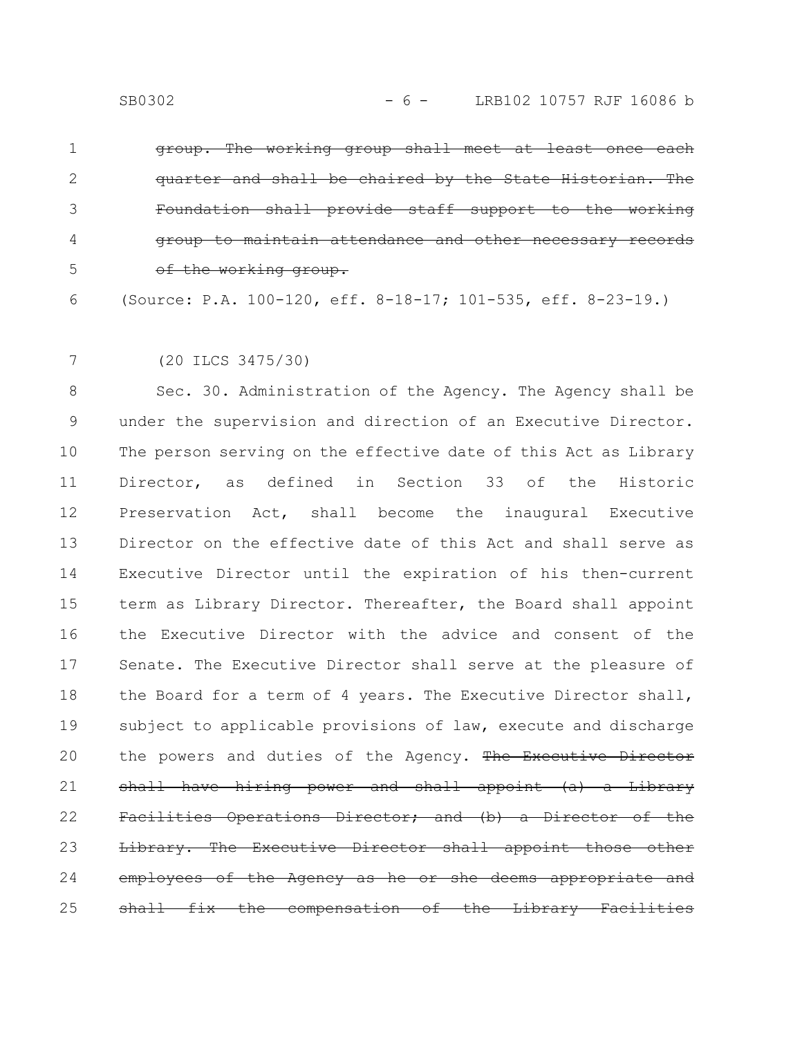group. The working group shall meet at least once each quarter and shall be chaired by the State Historian. The Foundation shall provide staff support <del>attendance and othe</del> of the working group. 1 2 3 4 5

(Source: P.A. 100-120, eff. 8-18-17; 101-535, eff. 8-23-19.) 6

7

(20 ILCS 3475/30)

Sec. 30. Administration of the Agency. The Agency shall be under the supervision and direction of an Executive Director. The person serving on the effective date of this Act as Library Director, as defined in Section 33 of the Historic Preservation Act, shall become the inaugural Executive Director on the effective date of this Act and shall serve as Executive Director until the expiration of his then-current term as Library Director. Thereafter, the Board shall appoint the Executive Director with the advice and consent of the Senate. The Executive Director shall serve at the pleasure of the Board for a term of 4 years. The Executive Director shall, subject to applicable provisions of law, execute and discharge the powers and duties of the Agency. The Executive Director shall have hiring power and shall appoint (a) a Library Facilities Operations Director; and (b) Library. The Executive Director shall appoint employees of the Agency as he or she deems appropri all fix the compensation of the Library 8 9 10 11 12 13 14 15 16 17 18 19 20 21 22 23 24 25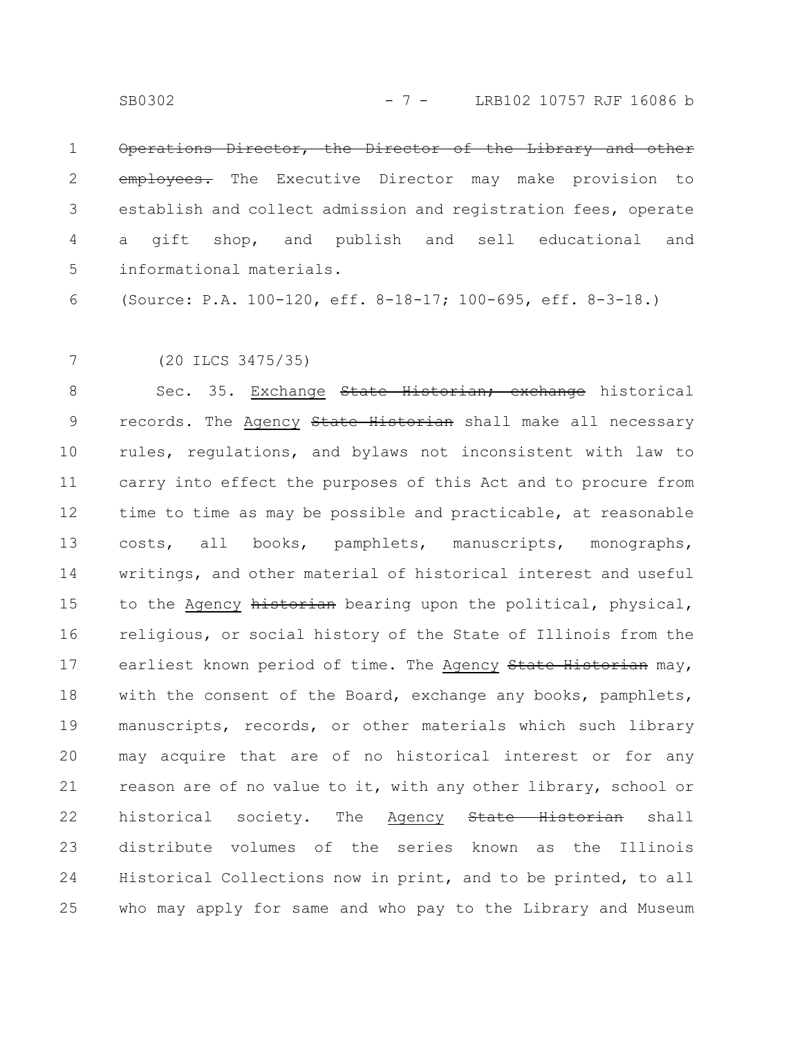Operations Director, the Director of the Library and other employees. The Executive Director may make provision to establish and collect admission and registration fees, operate a gift shop, and publish and sell educational and informational materials. 1 2 3 4 5

(Source: P.A. 100-120, eff. 8-18-17; 100-695, eff. 8-3-18.) 6

(20 ILCS 3475/35) 7

Sec. 35. Exchange State Historian; exchange historical records. The Agency State Historian shall make all necessary rules, regulations, and bylaws not inconsistent with law to carry into effect the purposes of this Act and to procure from time to time as may be possible and practicable, at reasonable costs, all books, pamphlets, manuscripts, monographs, writings, and other material of historical interest and useful to the Agency historian bearing upon the political, physical, religious, or social history of the State of Illinois from the earliest known period of time. The Agency State Historian may, with the consent of the Board, exchange any books, pamphlets, manuscripts, records, or other materials which such library may acquire that are of no historical interest or for any reason are of no value to it, with any other library, school or historical society. The Agency State Historian shall distribute volumes of the series known as the Illinois Historical Collections now in print, and to be printed, to all who may apply for same and who pay to the Library and Museum 8 9 10 11 12 13 14 15 16 17 18 19 20 21 22 23 24 25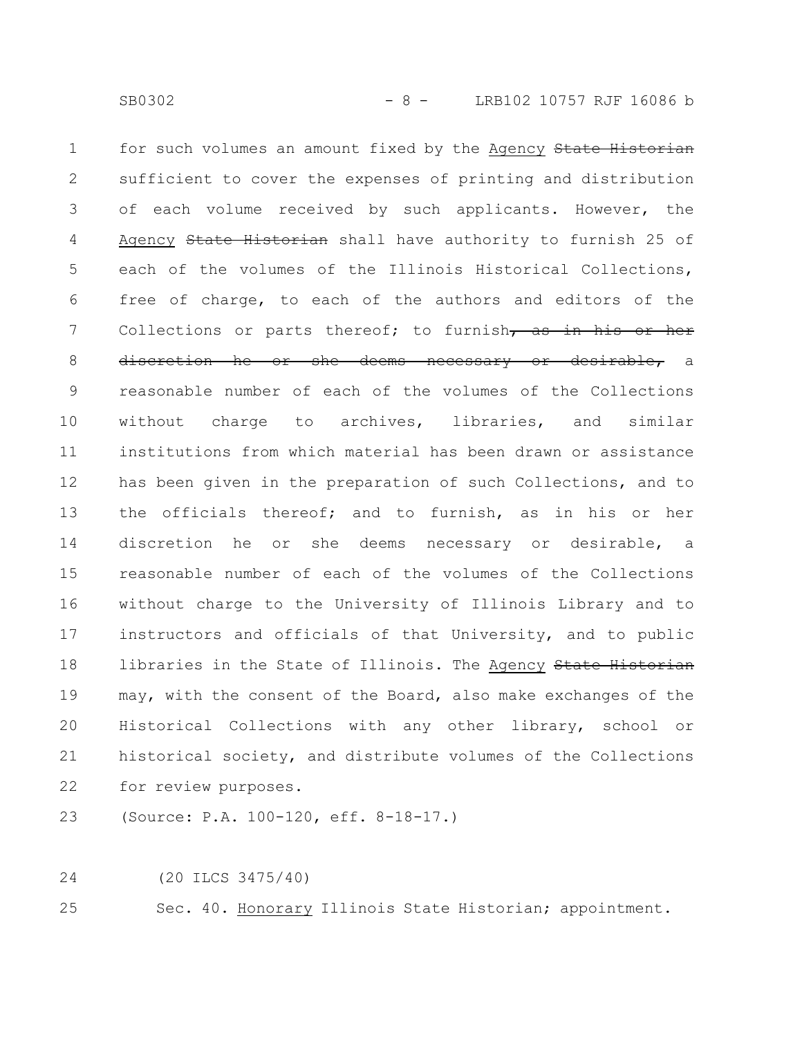for such volumes an amount fixed by the Agency State Historian sufficient to cover the expenses of printing and distribution of each volume received by such applicants. However, the Agency State Historian shall have authority to furnish 25 of each of the volumes of the Illinois Historical Collections, free of charge, to each of the authors and editors of the Collections or parts thereof; to furnish, as in his or her discretion he or she deems necessary or desirable, a reasonable number of each of the volumes of the Collections without charge to archives, libraries, and similar institutions from which material has been drawn or assistance has been given in the preparation of such Collections, and to the officials thereof; and to furnish, as in his or her discretion he or she deems necessary or desirable, a reasonable number of each of the volumes of the Collections without charge to the University of Illinois Library and to instructors and officials of that University, and to public libraries in the State of Illinois. The Agency State Historian may, with the consent of the Board, also make exchanges of the Historical Collections with any other library, school or historical society, and distribute volumes of the Collections for review purposes. 1 2 3 4 5 6 7 8 9 10 11 12 13 14 15 16 17 18 19 20 21 22

(Source: P.A. 100-120, eff. 8-18-17.) 23

(20 ILCS 3475/40) 24

Sec. 40. Honorary Illinois State Historian; appointment. 25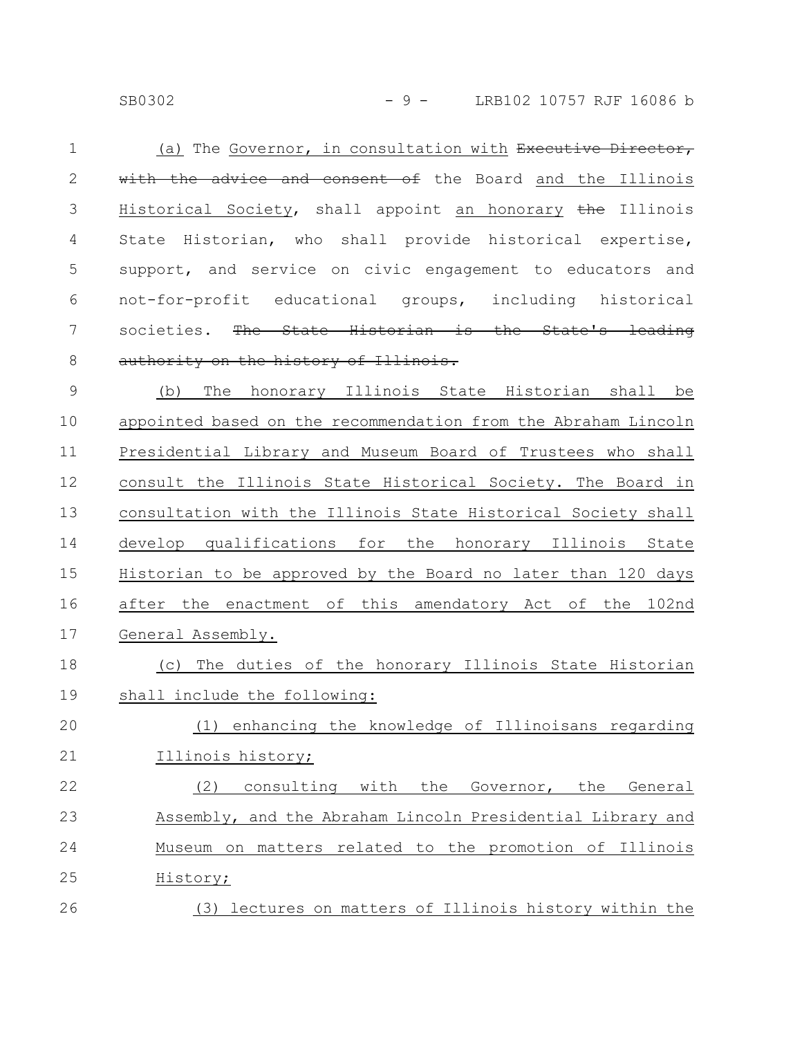SB0302 - 9 - LRB102 10757 RJF 16086 b

(a) The Governor, in consultation with Executive Director, with the advice and consent of the Board and the Illinois Historical Society, shall appoint an honorary the Illinois State Historian, who shall provide historical expertise, support, and service on civic engagement to educators and not-for-profit educational groups, including historical societies. The State Historian is the State's authority on the history of Illinois. 1 2 3 4 5 6 7 8

(b) The honorary Illinois State Historian shall be appointed based on the recommendation from the Abraham Lincoln Presidential Library and Museum Board of Trustees who shall consult the Illinois State Historical Society. The Board in consultation with the Illinois State Historical Society shall develop qualifications for the honorary Illinois State Historian to be approved by the Board no later than 120 days after the enactment of this amendatory Act of the 102nd General Assembly. 9 10 11 12 13 14 15 16 17

(c) The duties of the honorary Illinois State Historian shall include the following: 18 19

(1) enhancing the knowledge of Illinoisans regarding Illinois history; 20 21

(2) consulting with the Governor, the General Assembly, and the Abraham Lincoln Presidential Library and Museum on matters related to the promotion of Illinois History; 22 23 24 25 26

(3) lectures on matters of Illinois history within the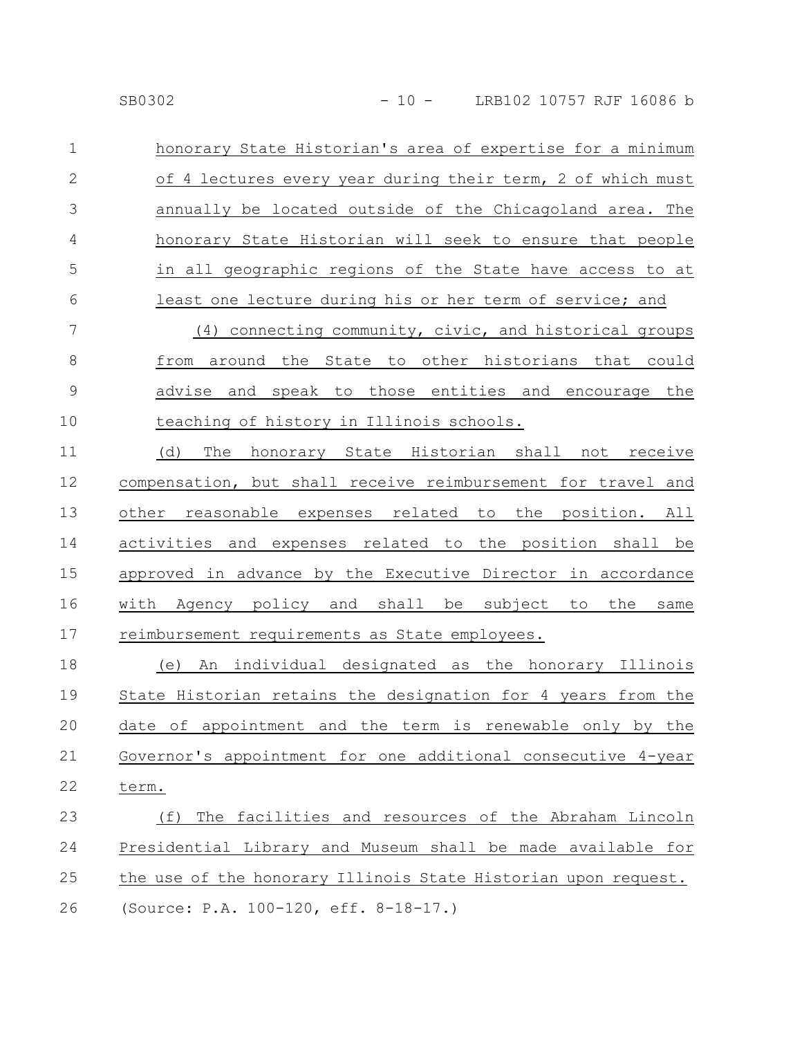honorary State Historian's area of expertise for a minimum of 4 lectures every year during their term, 2 of which must annually be located outside of the Chicagoland area. The honorary State Historian will seek to ensure that people in all geographic regions of the State have access to at least one lecture during his or her term of service; and 1 2 3 4 5 6

(4) connecting community, civic, and historical groups from around the State to other historians that could advise and speak to those entities and encourage the teaching of history in Illinois schools. 7 8 9 10

(d) The honorary State Historian shall not receive compensation, but shall receive reimbursement for travel and other reasonable expenses related to the position. All activities and expenses related to the position shall be approved in advance by the Executive Director in accordance with Agency policy and shall be subject to the same reimbursement requirements as State employees. 11 12 13 14 15 16 17

(e) An individual designated as the honorary Illinois State Historian retains the designation for 4 years from the date of appointment and the term is renewable only by the Governor's appointment for one additional consecutive 4-year term. 18 19 20 21 22

(f) The facilities and resources of the Abraham Lincoln Presidential Library and Museum shall be made available for the use of the honorary Illinois State Historian upon request. (Source: P.A. 100-120, eff. 8-18-17.) 23 24 25 26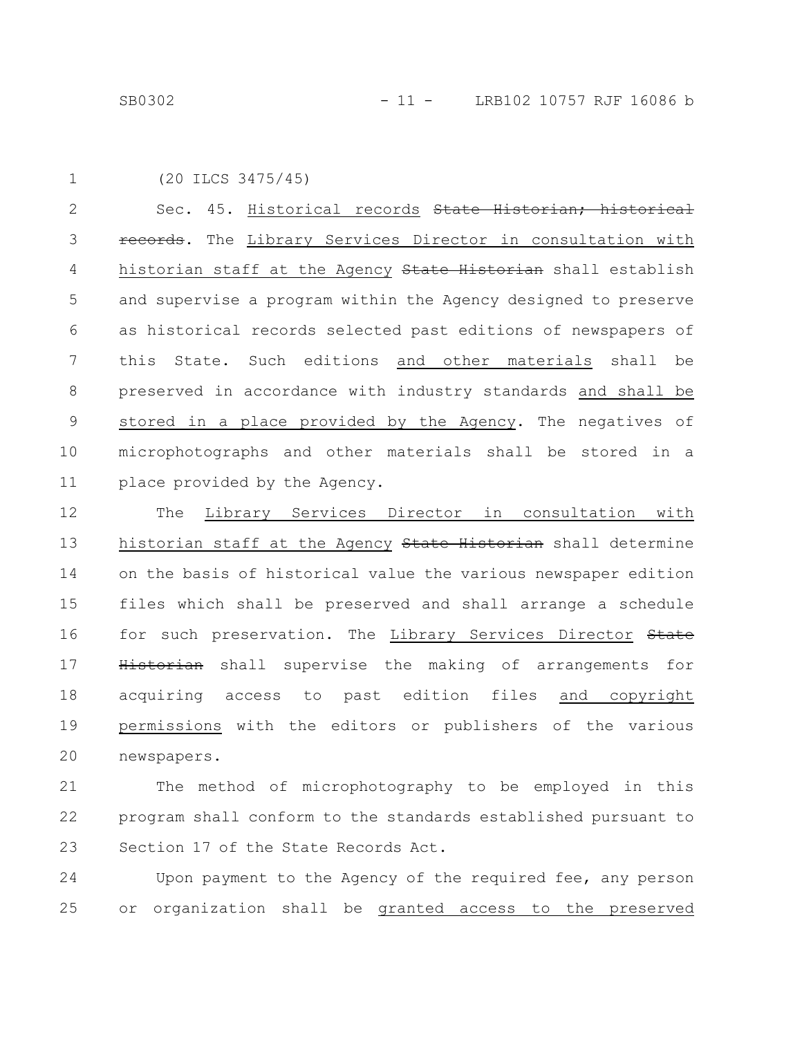```
(20 ILCS 3475/45)
1
```
Sec. 45. Historical records State Historian; historical records. The Library Services Director in consultation with historian staff at the Agency State Historian shall establish and supervise a program within the Agency designed to preserve as historical records selected past editions of newspapers of this State. Such editions and other materials shall be preserved in accordance with industry standards and shall be stored in a place provided by the Agency. The negatives of microphotographs and other materials shall be stored in a place provided by the Agency. 2 3 4 5 6 7 8 9 10 11

The Library Services Director in consultation with historian staff at the Agency State Historian shall determine on the basis of historical value the various newspaper edition files which shall be preserved and shall arrange a schedule for such preservation. The Library Services Director State Historian shall supervise the making of arrangements for acquiring access to past edition files and copyright permissions with the editors or publishers of the various newspapers. 12 13 14 15 16 17 18 19 20

The method of microphotography to be employed in this program shall conform to the standards established pursuant to Section 17 of the State Records Act. 21 22 23

Upon payment to the Agency of the required fee, any person or organization shall be granted access to the preserved 24 25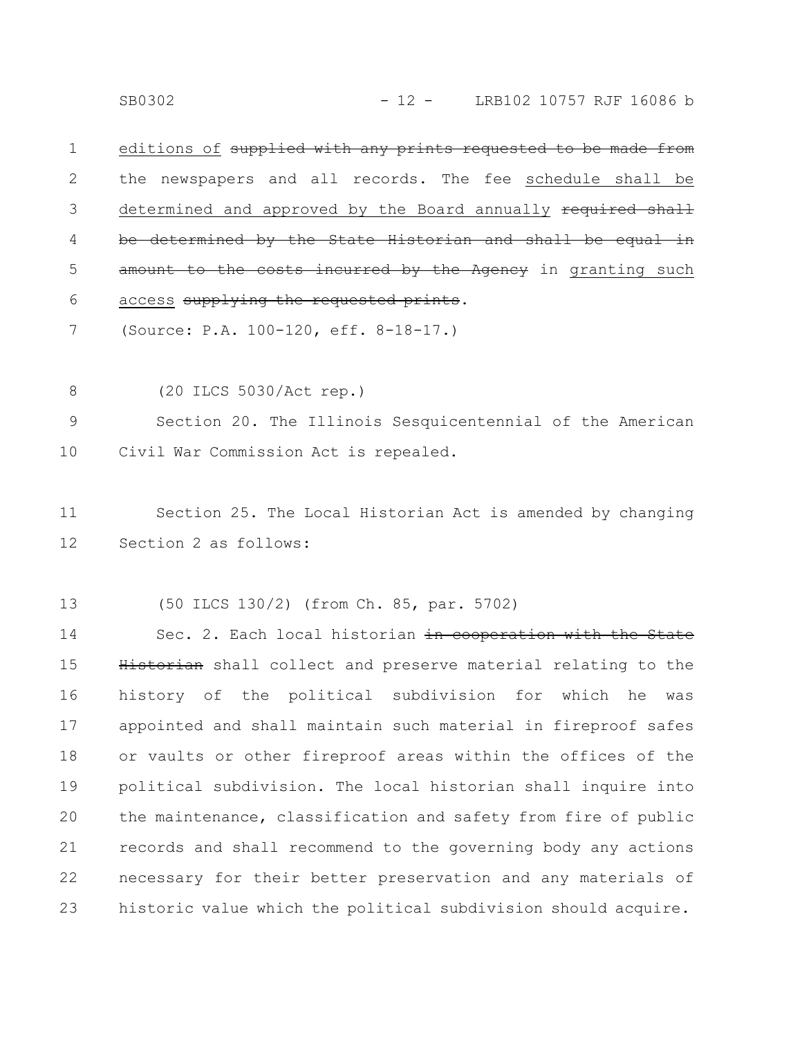editions of supplied with any prints requested to be made the newspapers and all records. The fee schedule shall be determined and approved by the Board annually required shall be determined by the State Historian and shall be equal amount to the costs incurred by the Agency in granting such access supplying the requested prints. 1 2 3 4 5 6

(Source: P.A. 100-120, eff. 8-18-17.) 7

(20 ILCS 5030/Act rep.) 8

Section 20. The Illinois Sesquicentennial of the American Civil War Commission Act is repealed. 9 10

Section 25. The Local Historian Act is amended by changing Section 2 as follows: 11 12

(50 ILCS 130/2) (from Ch. 85, par. 5702) 13

Sec. 2. Each local historian in cooperation with the State Historian shall collect and preserve material relating to the history of the political subdivision for which he was appointed and shall maintain such material in fireproof safes or vaults or other fireproof areas within the offices of the political subdivision. The local historian shall inquire into the maintenance, classification and safety from fire of public records and shall recommend to the governing body any actions necessary for their better preservation and any materials of historic value which the political subdivision should acquire. 14 15 16 17 18 19 20 21 22 23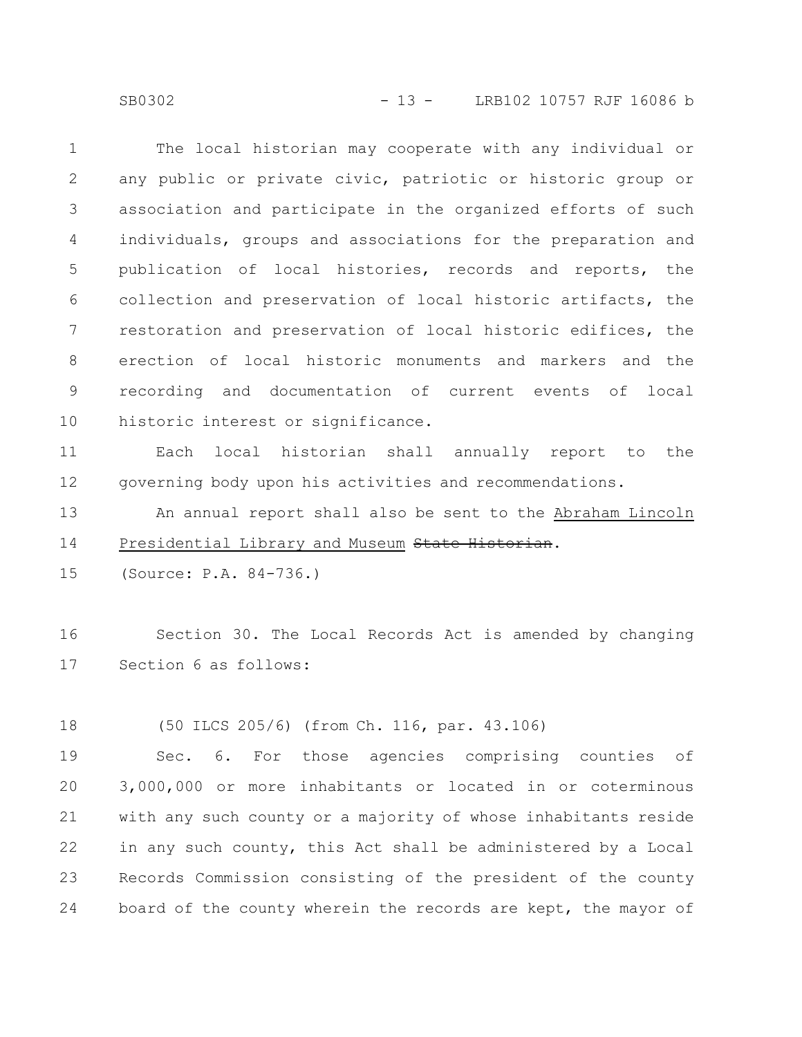SB0302 - 13 - LRB102 10757 RJF 16086 b

The local historian may cooperate with any individual or any public or private civic, patriotic or historic group or association and participate in the organized efforts of such individuals, groups and associations for the preparation and publication of local histories, records and reports, the collection and preservation of local historic artifacts, the restoration and preservation of local historic edifices, the erection of local historic monuments and markers and the recording and documentation of current events of local historic interest or significance. 1 2 3 4 5 6 7 8 9 10

Each local historian shall annually report to the governing body upon his activities and recommendations. 11 12

An annual report shall also be sent to the Abraham Lincoln Presidential Library and Museum State Historian. 13 14

(Source: P.A. 84-736.) 15

Section 30. The Local Records Act is amended by changing Section 6 as follows: 16 17

(50 ILCS 205/6) (from Ch. 116, par. 43.106) 18

Sec. 6. For those agencies comprising counties of 3,000,000 or more inhabitants or located in or coterminous with any such county or a majority of whose inhabitants reside in any such county, this Act shall be administered by a Local Records Commission consisting of the president of the county board of the county wherein the records are kept, the mayor of 19 20 21 22 23 24